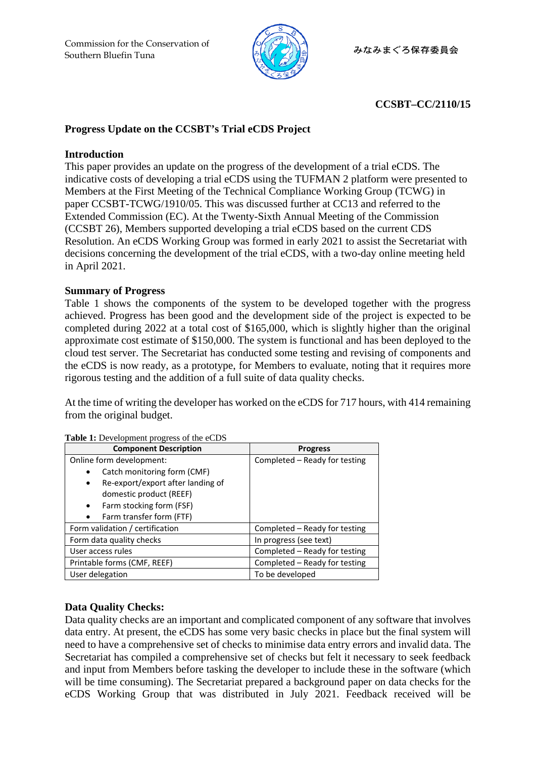

# **CCSBT–CC/2110/15**

# **Progress Update on the CCSBT's Trial eCDS Project**

## **Introduction**

This paper provides an update on the progress of the development of a trial eCDS. The indicative costs of developing a trial eCDS using the TUFMAN 2 platform were presented to Members at the First Meeting of the Technical Compliance Working Group (TCWG) in paper CCSBT-TCWG/1910/05. This was discussed further at CC13 and referred to the Extended Commission (EC). At the Twenty-Sixth Annual Meeting of the Commission (CCSBT 26), Members supported developing a trial eCDS based on the current CDS Resolution. An eCDS Working Group was formed in early 2021 to assist the Secretariat with decisions concerning the development of the trial eCDS, with a two-day online meeting held in April 2021.

### **Summary of Progress**

Table 1 shows the components of the system to be developed together with the progress achieved. Progress has been good and the development side of the project is expected to be completed during 2022 at a total cost of \$165,000, which is slightly higher than the original approximate cost estimate of \$150,000. The system is functional and has been deployed to the cloud test server. The Secretariat has conducted some testing and revising of components and the eCDS is now ready, as a prototype, for Members to evaluate, noting that it requires more rigorous testing and the addition of a full suite of data quality checks.

At the time of writing the developer has worked on the eCDS for 717 hours, with 414 remaining from the original budget.

| <b>Rashe 1.</b> Beversplitent progress of the eeds |                               |
|----------------------------------------------------|-------------------------------|
| <b>Component Description</b>                       | <b>Progress</b>               |
| Online form development:                           | Completed - Ready for testing |
| Catch monitoring form (CMF)                        |                               |
| Re-export/export after landing of<br>$\bullet$     |                               |
| domestic product (REEF)                            |                               |
| Farm stocking form (FSF)<br>$\bullet$              |                               |
| Farm transfer form (FTF)<br>$\bullet$              |                               |
| Form validation / certification                    | Completed – Ready for testing |
| Form data quality checks                           | In progress (see text)        |
| User access rules                                  | Completed - Ready for testing |
| Printable forms (CMF, REEF)                        | Completed – Ready for testing |
| User delegation                                    | To be developed               |

**Table 1:** Development progress of the eCDS

# **Data Quality Checks:**

Data quality checks are an important and complicated component of any software that involves data entry. At present, the eCDS has some very basic checks in place but the final system will need to have a comprehensive set of checks to minimise data entry errors and invalid data. The Secretariat has compiled a comprehensive set of checks but felt it necessary to seek feedback and input from Members before tasking the developer to include these in the software (which will be time consuming). The Secretariat prepared a background paper on data checks for the eCDS Working Group that was distributed in July 2021. Feedback received will be